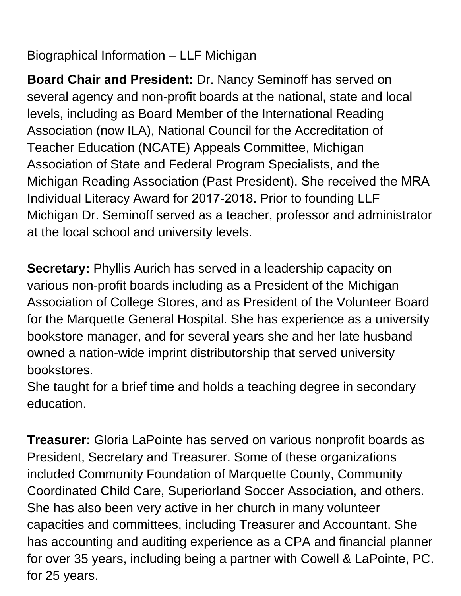Biographical Information – LLF Michigan

**Board Chair and President:** Dr. Nancy Seminoff has served on several agency and non-profit boards at the national, state and local levels, including as Board Member of the International Reading Association (now ILA), National Council for the Accreditation of Teacher Education (NCATE) Appeals Committee, Michigan Association of State and Federal Program Specialists, and the Michigan Reading Association (Past President). She received the MRA Individual Literacy Award for 2017-2018. Prior to founding LLF Michigan Dr. Seminoff served as a teacher, professor and administrator at the local school and university levels.

**Secretary:** Phyllis Aurich has served in a leadership capacity on various non-profit boards including as a President of the Michigan Association of College Stores, and as President of the Volunteer Board for the Marquette General Hospital. She has experience as a university bookstore manager, and for several years she and her late husband owned a nation-wide imprint distributorship that served university bookstores.

She taught for a brief time and holds a teaching degree in secondary education.

**Treasurer:** Gloria LaPointe has served on various nonprofit boards as President, Secretary and Treasurer. Some of these organizations included Community Foundation of Marquette County, Community Coordinated Child Care, Superiorland Soccer Association, and others. She has also been very active in her church in many volunteer capacities and committees, including Treasurer and Accountant. She has accounting and auditing experience as a CPA and financial planner for over 35 years, including being a partner with Cowell & LaPointe, PC. for 25 years.